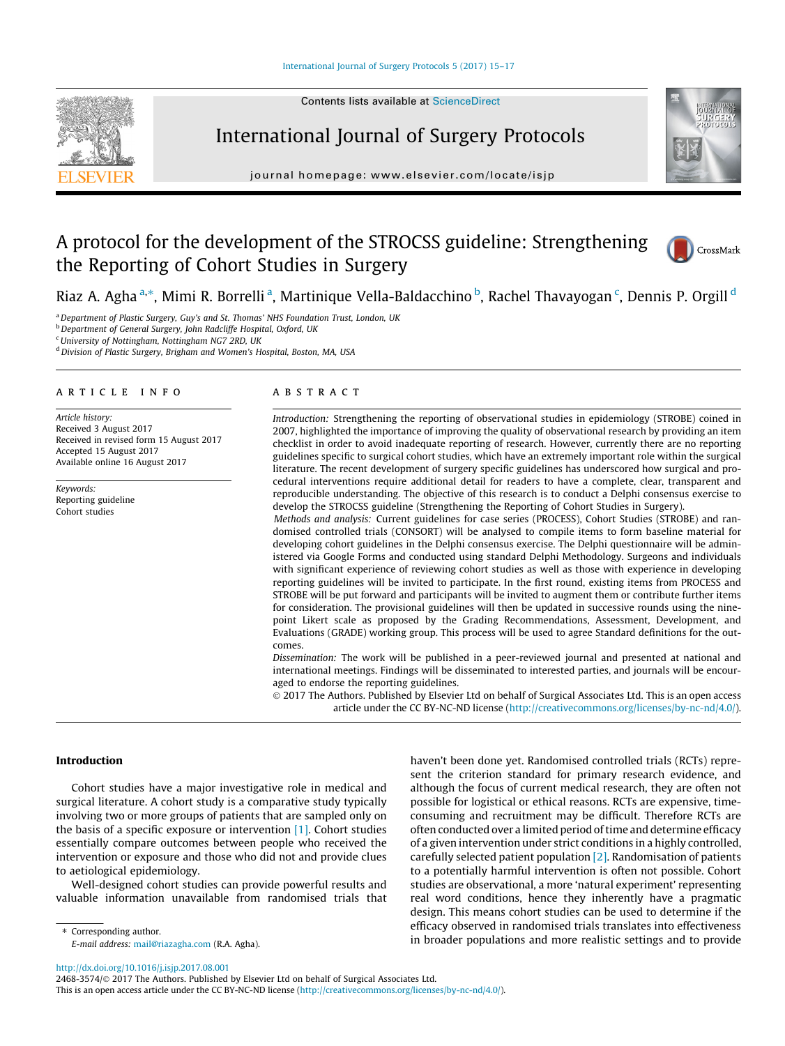



journal homepage: [www.elsevier.com/locate/isjp](http://www.elsevier.com/locate/isjp)

# A protocol for the development of the STROCSS guideline: Strengthening the Reporting of Cohort Studies in Surgery



CrossMark

Riaz A. Agha <sup>a,</sup>\*, Mimi R. Borrelli <sup>a</sup>, Martinique Vella-Baldacchino <sup>b</sup>, Rachel Thavayogan <sup>c</sup>, Dennis P. Orgill <sup>d</sup>

a Department of Plastic Surgery, Guy's and St. Thomas' NHS Foundation Trust, London, UK

**b** Department of General Surgery, John Radcliffe Hospital, Oxford, UK

<sup>c</sup> University of Nottingham, Nottingham NG7 2RD, UK

<sup>d</sup> Division of Plastic Surgery, Brigham and Women's Hospital, Boston, MA, USA

#### article info

Article history: Received 3 August 2017 Received in revised form 15 August 2017 Accepted 15 August 2017 Available online 16 August 2017

Keywords: Reporting guideline Cohort studies

# **ABSTRACT**

Introduction: Strengthening the reporting of observational studies in epidemiology (STROBE) coined in 2007, highlighted the importance of improving the quality of observational research by providing an item checklist in order to avoid inadequate reporting of research. However, currently there are no reporting guidelines specific to surgical cohort studies, which have an extremely important role within the surgical literature. The recent development of surgery specific guidelines has underscored how surgical and procedural interventions require additional detail for readers to have a complete, clear, transparent and reproducible understanding. The objective of this research is to conduct a Delphi consensus exercise to develop the STROCSS guideline (Strengthening the Reporting of Cohort Studies in Surgery).

Methods and analysis: Current guidelines for case series (PROCESS), Cohort Studies (STROBE) and randomised controlled trials (CONSORT) will be analysed to compile items to form baseline material for developing cohort guidelines in the Delphi consensus exercise. The Delphi questionnaire will be administered via Google Forms and conducted using standard Delphi Methodology. Surgeons and individuals with significant experience of reviewing cohort studies as well as those with experience in developing reporting guidelines will be invited to participate. In the first round, existing items from PROCESS and STROBE will be put forward and participants will be invited to augment them or contribute further items for consideration. The provisional guidelines will then be updated in successive rounds using the ninepoint Likert scale as proposed by the Grading Recommendations, Assessment, Development, and Evaluations (GRADE) working group. This process will be used to agree Standard definitions for the outcomes.

Dissemination: The work will be published in a peer-reviewed journal and presented at national and international meetings. Findings will be disseminated to interested parties, and journals will be encouraged to endorse the reporting guidelines.

 2017 The Authors. Published by Elsevier Ltd on behalf of Surgical Associates Ltd. This is an open access article under the CC BY-NC-ND license (<http://creativecommons.org/licenses/by-nc-nd/4.0/>).

#### Introduction

Cohort studies have a major investigative role in medical and surgical literature. A cohort study is a comparative study typically involving two or more groups of patients that are sampled only on the basis of a specific exposure or intervention [\[1\]](#page-2-0). Cohort studies essentially compare outcomes between people who received the intervention or exposure and those who did not and provide clues to aetiological epidemiology.

Well-designed cohort studies can provide powerful results and valuable information unavailable from randomised trials that haven't been done yet. Randomised controlled trials (RCTs) represent the criterion standard for primary research evidence, and although the focus of current medical research, they are often not possible for logistical or ethical reasons. RCTs are expensive, timeconsuming and recruitment may be difficult. Therefore RCTs are often conducted over a limited period of time and determine efficacy of a given intervention under strict conditions in a highly controlled, carefully selected patient population [\[2\].](#page-2-0) Randomisation of patients to a potentially harmful intervention is often not possible. Cohort studies are observational, a more 'natural experiment' representing real word conditions, hence they inherently have a pragmatic design. This means cohort studies can be used to determine if the efficacy observed in randomised trials translates into effectiveness in broader populations and more realistic settings and to provide

⇑ Corresponding author. E-mail address: [mail@riazagha.com](mailto:mail@riazagha.com) (R.A. Agha).

<http://dx.doi.org/10.1016/j.isjp.2017.08.001>

2468-3574/© 2017 The Authors. Published by Elsevier Ltd on behalf of Surgical Associates Ltd.

This is an open access article under the CC BY-NC-ND license ([http://creativecommons.org/licenses/by-nc-nd/4.0/\)](http://creativecommons.org/licenses/by-nc-nd/4.0/).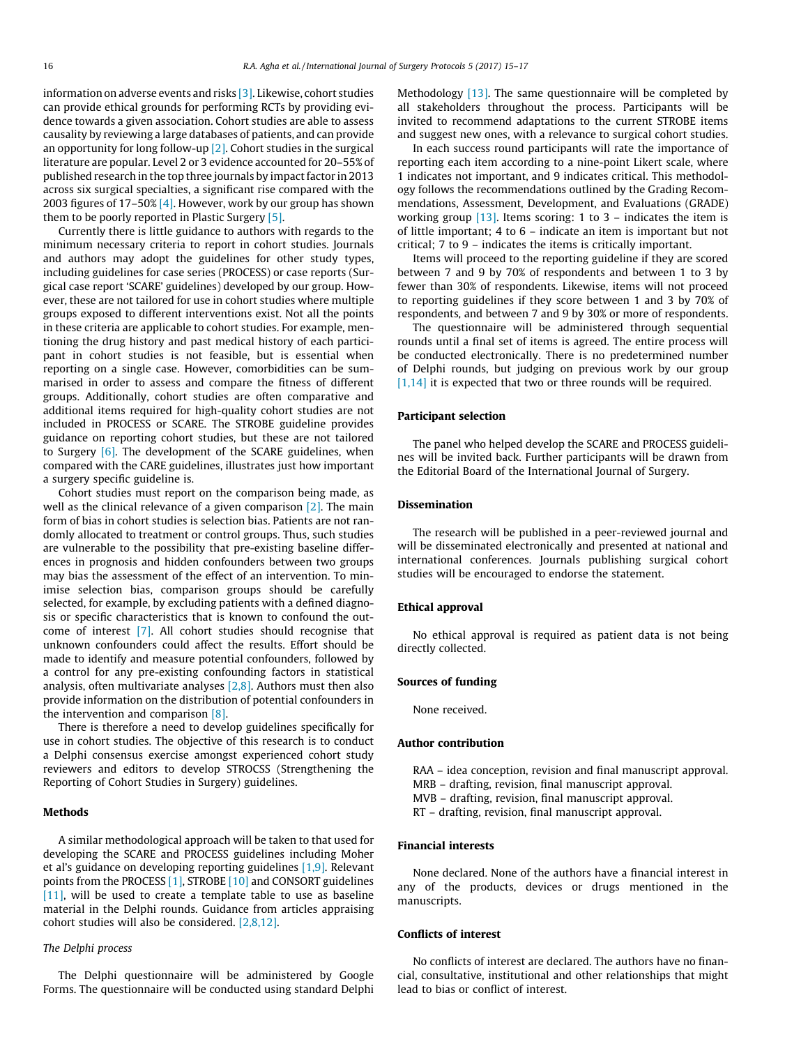information on adverse events and risks [\[3\].](#page-2-0) Likewise, cohort studies can provide ethical grounds for performing RCTs by providing evidence towards a given association. Cohort studies are able to assess causality by reviewing a large databases of patients, and can provide an opportunity for long follow-up [\[2\]](#page-2-0). Cohort studies in the surgical literature are popular. Level 2 or 3 evidence accounted for 20–55% of published research in the top three journals by impact factor in 2013 across six surgical specialties, a significant rise compared with the 2003 figures of 17–50% [\[4\].](#page-2-0) However, work by our group has shown them to be poorly reported in Plastic Surgery [\[5\]](#page-2-0).

Currently there is little guidance to authors with regards to the minimum necessary criteria to report in cohort studies. Journals and authors may adopt the guidelines for other study types, including guidelines for case series (PROCESS) or case reports (Surgical case report 'SCARE' guidelines) developed by our group. However, these are not tailored for use in cohort studies where multiple groups exposed to different interventions exist. Not all the points in these criteria are applicable to cohort studies. For example, mentioning the drug history and past medical history of each participant in cohort studies is not feasible, but is essential when reporting on a single case. However, comorbidities can be summarised in order to assess and compare the fitness of different groups. Additionally, cohort studies are often comparative and additional items required for high-quality cohort studies are not included in PROCESS or SCARE. The STROBE guideline provides guidance on reporting cohort studies, but these are not tailored to Surgery  $[6]$ . The development of the SCARE guidelines, when compared with the CARE guidelines, illustrates just how important a surgery specific guideline is.

Cohort studies must report on the comparison being made, as well as the clinical relevance of a given comparison [\[2\]](#page-2-0). The main form of bias in cohort studies is selection bias. Patients are not randomly allocated to treatment or control groups. Thus, such studies are vulnerable to the possibility that pre-existing baseline differences in prognosis and hidden confounders between two groups may bias the assessment of the effect of an intervention. To minimise selection bias, comparison groups should be carefully selected, for example, by excluding patients with a defined diagnosis or specific characteristics that is known to confound the outcome of interest [\[7\].](#page-2-0) All cohort studies should recognise that unknown confounders could affect the results. Effort should be made to identify and measure potential confounders, followed by a control for any pre-existing confounding factors in statistical analysis, often multivariate analyses  $[2,8]$ . Authors must then also provide information on the distribution of potential confounders in the intervention and comparison [\[8\]](#page-2-0).

There is therefore a need to develop guidelines specifically for use in cohort studies. The objective of this research is to conduct a Delphi consensus exercise amongst experienced cohort study reviewers and editors to develop STROCSS (Strengthening the Reporting of Cohort Studies in Surgery) guidelines.

#### Methods

A similar methodological approach will be taken to that used for developing the SCARE and PROCESS guidelines including Moher et al's guidance on developing reporting guidelines [\[1,9\].](#page-2-0) Relevant points from the PROCESS [\[1\],](#page-2-0) STROBE [\[10\]](#page-2-0) and CONSORT guidelines [\[11\]](#page-2-0), will be used to create a template table to use as baseline material in the Delphi rounds. Guidance from articles appraising cohort studies will also be considered. [\[2,8,12\]](#page-2-0).

## The Delphi process

The Delphi questionnaire will be administered by Google Forms. The questionnaire will be conducted using standard Delphi Methodology  $[13]$ . The same questionnaire will be completed by all stakeholders throughout the process. Participants will be invited to recommend adaptations to the current STROBE items and suggest new ones, with a relevance to surgical cohort studies.

In each success round participants will rate the importance of reporting each item according to a nine-point Likert scale, where 1 indicates not important, and 9 indicates critical. This methodology follows the recommendations outlined by the Grading Recommendations, Assessment, Development, and Evaluations (GRADE) working group  $[13]$ . Items scoring: 1 to 3 – indicates the item is of little important; 4 to 6 – indicate an item is important but not critical; 7 to 9 – indicates the items is critically important.

Items will proceed to the reporting guideline if they are scored between 7 and 9 by 70% of respondents and between 1 to 3 by fewer than 30% of respondents. Likewise, items will not proceed to reporting guidelines if they score between 1 and 3 by 70% of respondents, and between 7 and 9 by 30% or more of respondents.

The questionnaire will be administered through sequential rounds until a final set of items is agreed. The entire process will be conducted electronically. There is no predetermined number of Delphi rounds, but judging on previous work by our group [\[1,14\]](#page-2-0) it is expected that two or three rounds will be required.

#### Participant selection

The panel who helped develop the SCARE and PROCESS guidelines will be invited back. Further participants will be drawn from the Editorial Board of the International Journal of Surgery.

#### Dissemination

The research will be published in a peer-reviewed journal and will be disseminated electronically and presented at national and international conferences. Journals publishing surgical cohort studies will be encouraged to endorse the statement.

#### Ethical approval

No ethical approval is required as patient data is not being directly collected.

#### Sources of funding

None received.

#### Author contribution

RAA – idea conception, revision and final manuscript approval. MRB – drafting, revision, final manuscript approval. MVB – drafting, revision, final manuscript approval. RT – drafting, revision, final manuscript approval.

## Financial interests

None declared. None of the authors have a financial interest in any of the products, devices or drugs mentioned in the manuscripts.

#### Conflicts of interest

No conflicts of interest are declared. The authors have no financial, consultative, institutional and other relationships that might lead to bias or conflict of interest.